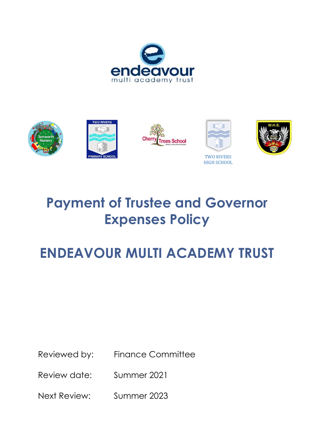









TWO RIVERS HIGH SCHOOL



# **Payment of Trustee and Governor Expenses Policy**

# **ENDEAVOUR MULTI ACADEMY TRUST**

Reviewed by: Finance Committee

Review date: Summer 2021

Next Review: Summer 2023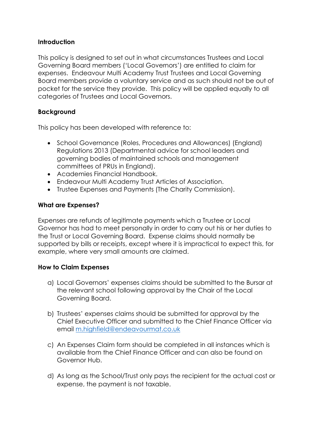#### **Introduction**

This policy is designed to set out in what circumstances Trustees and Local Governing Board members ('Local Governors') are entitled to claim for expenses. Endeavour Multi Academy Trust Trustees and Local Governing Board members provide a voluntary service and as such should not be out of pocket for the service they provide. This policy will be applied equally to all categories of Trustees and Local Governors.

## **Background**

This policy has been developed with reference to:

- School Governance (Roles, Procedures and Allowances) (England) Regulations 2013 (Departmental advice for school leaders and governing bodies of maintained schools and management committees of PRUs in England).
- Academies Financial Handbook.
- Endeavour Multi Academy Trust Articles of Association.
- Trustee Expenses and Payments (The Charity Commission).

### **What are Expenses?**

Expenses are refunds of legitimate payments which a Trustee or Local Governor has had to meet personally in order to carry out his or her duties to the Trust or Local Governing Board. Expense claims should normally be supported by bills or receipts, except where it is impractical to expect this, for example, where very small amounts are claimed.

## **How to Claim Expenses**

- a) Local Governors' expenses claims should be submitted to the Bursar at the relevant school following approval by the Chair of the Local Governing Board.
- b) Trustees' expenses claims should be submitted for approval by the Chief Executive Officer and submitted to the Chief Finance Officer via email [m.highfield@endeavourmat.co.uk](mailto:m.highfield@endeavourmat.co.uk)
- c) An Expenses Claim form should be completed in all instances which is available from the Chief Finance Officer and can also be found on Governor Hub.
- d) As long as the School/Trust only pays the recipient for the actual cost or expense, the payment is not taxable.